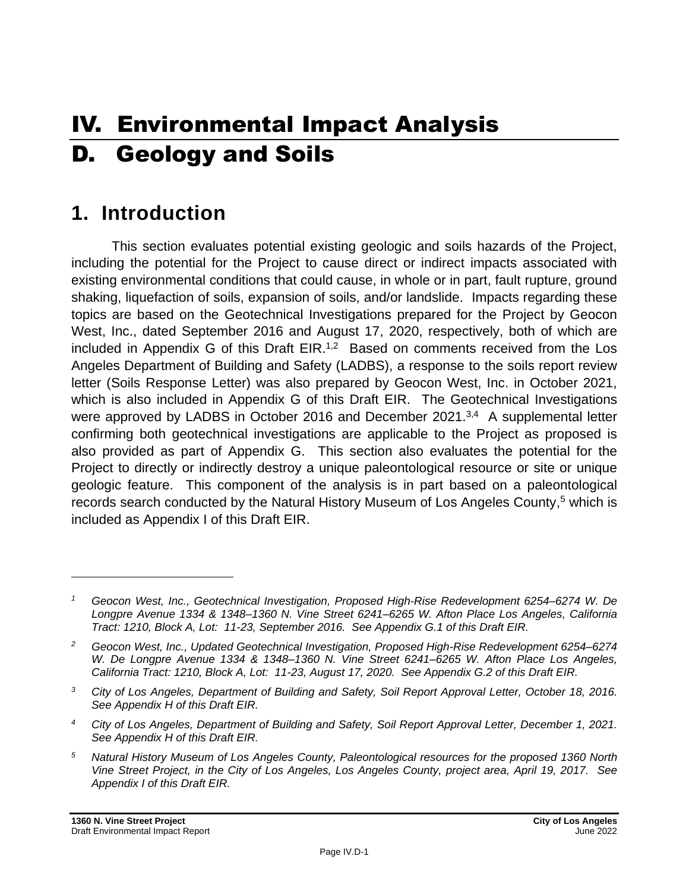# IV. Environmental Impact Analysis D. Geology and Soils

# **1. Introduction**

This section evaluates potential existing geologic and soils hazards of the Project, including the potential for the Project to cause direct or indirect impacts associated with existing environmental conditions that could cause, in whole or in part, fault rupture, ground shaking, liquefaction of soils, expansion of soils, and/or landslide. Impacts regarding these topics are based on the Geotechnical Investigations prepared for the Project by Geocon West, Inc., dated September 2016 and August 17, 2020, respectively, both of which are included in Appendix G of this Draft EIR.<sup>1,2</sup> Based on comments received from the Los Angeles Department of Building and Safety (LADBS), a response to the soils report review letter (Soils Response Letter) was also prepared by Geocon West, Inc. in October 2021, which is also included in Appendix G of this Draft EIR. The Geotechnical Investigations were approved by LADBS in October 2016 and December 2021.<sup>3,4</sup> A supplemental letter confirming both geotechnical investigations are applicable to the Project as proposed is also provided as part of Appendix G. This section also evaluates the potential for the Project to directly or indirectly destroy a unique paleontological resource or site or unique geologic feature. This component of the analysis is in part based on a paleontological records search conducted by the Natural History Museum of Los Angeles County,<sup>5</sup> which is included as Appendix I of this Draft EIR.

*<sup>1</sup> Geocon West, Inc., Geotechnical Investigation, Proposed High-Rise Redevelopment 6254–6274 W. De Longpre Avenue 1334 & 1348–1360 N. Vine Street 6241–6265 W. Afton Place Los Angeles, California Tract: 1210, Block A, Lot: 11-23, September 2016. See Appendix G.1 of this Draft EIR.*

*<sup>2</sup> Geocon West, Inc., Updated Geotechnical Investigation, Proposed High-Rise Redevelopment 6254–6274 W. De Longpre Avenue 1334 & 1348–1360 N. Vine Street 6241–6265 W. Afton Place Los Angeles, California Tract: 1210, Block A, Lot: 11-23, August 17, 2020. See Appendix G.2 of this Draft EIR.*

*<sup>3</sup> City of Los Angeles, Department of Building and Safety, Soil Report Approval Letter, October 18, 2016. See Appendix H of this Draft EIR.*

*<sup>4</sup> City of Los Angeles, Department of Building and Safety, Soil Report Approval Letter, December 1, 2021. See Appendix H of this Draft EIR.*

*<sup>5</sup> Natural History Museum of Los Angeles County, Paleontological resources for the proposed 1360 North Vine Street Project, in the City of Los Angeles, Los Angeles County, project area, April 19, 2017. See Appendix I of this Draft EIR.*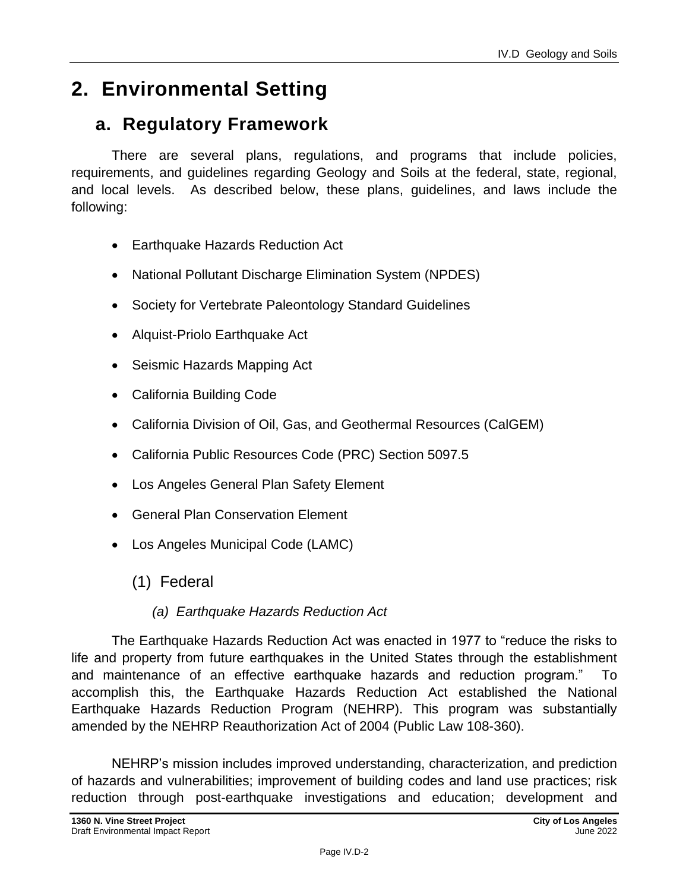# **2. Environmental Setting**

# **a. Regulatory Framework**

There are several plans, regulations, and programs that include policies, requirements, and guidelines regarding Geology and Soils at the federal, state, regional, and local levels. As described below, these plans, guidelines, and laws include the following:

- Earthquake Hazards Reduction Act
- National Pollutant Discharge Elimination System (NPDES)
- Society for Vertebrate Paleontology Standard Guidelines
- Alquist-Priolo Earthquake Act
- Seismic Hazards Mapping Act
- California Building Code
- California Division of Oil, Gas, and Geothermal Resources (CalGEM)
- California Public Resources Code (PRC) Section 5097.5
- Los Angeles General Plan Safety Element
- General Plan Conservation Element
- Los Angeles Municipal Code (LAMC)
	- (1) Federal

#### *(a) Earthquake Hazards Reduction Act*

The Earthquake Hazards Reduction Act was enacted in 1977 to "reduce the risks to life and property from future earthquakes in the United States through the establishment and maintenance of an effective earthquake hazards and reduction program." To accomplish this, the Earthquake Hazards Reduction Act established the National Earthquake Hazards Reduction Program (NEHRP). This program was substantially amended by the NEHRP Reauthorization Act of 2004 (Public Law 108-360).

NEHRP's mission includes improved understanding, characterization, and prediction of hazards and vulnerabilities; improvement of building codes and land use practices; risk reduction through post-earthquake investigations and education; development and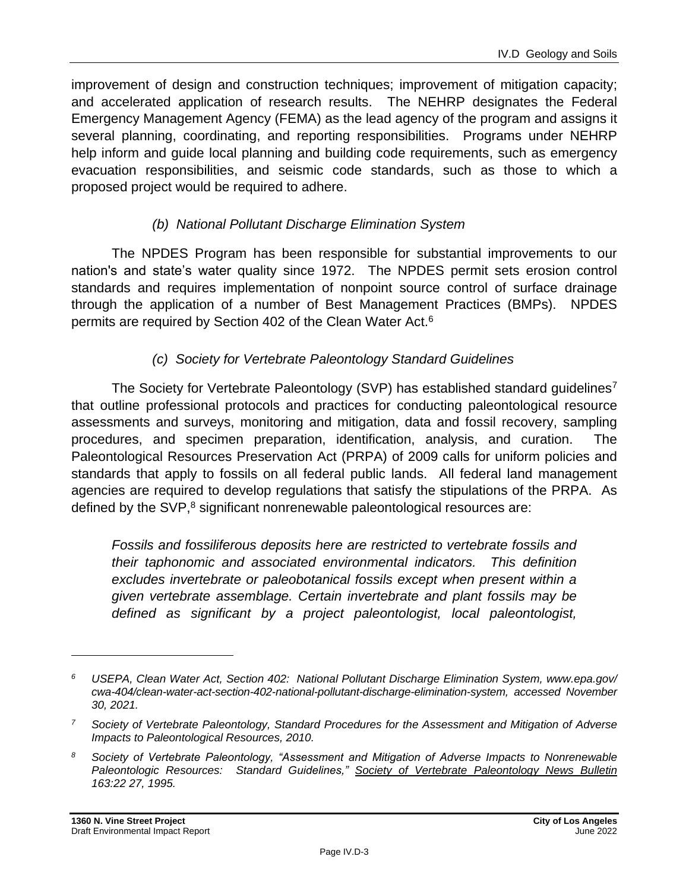improvement of design and construction techniques; improvement of mitigation capacity; and accelerated application of research results. The NEHRP designates the Federal Emergency Management Agency (FEMA) as the lead agency of the program and assigns it several planning, coordinating, and reporting responsibilities. Programs under NEHRP help inform and guide local planning and building code requirements, such as emergency evacuation responsibilities, and seismic code standards, such as those to which a proposed project would be required to adhere.

#### *(b) National Pollutant Discharge Elimination System*

The NPDES Program has been responsible for substantial improvements to our nation's and state's water quality since 1972. The NPDES permit sets erosion control standards and requires implementation of nonpoint source control of surface drainage through the application of a number of Best Management Practices (BMPs). NPDES permits are required by Section 402 of the Clean Water Act.<sup>6</sup>

#### *(c) Society for Vertebrate Paleontology Standard Guidelines*

The Society for Vertebrate Paleontology (SVP) has established standard guidelines<sup>7</sup> that outline professional protocols and practices for conducting paleontological resource assessments and surveys, monitoring and mitigation, data and fossil recovery, sampling procedures, and specimen preparation, identification, analysis, and curation. The Paleontological Resources Preservation Act (PRPA) of 2009 calls for uniform policies and standards that apply to fossils on all federal public lands. All federal land management agencies are required to develop regulations that satisfy the stipulations of the PRPA. As defined by the SVP,<sup>8</sup> significant nonrenewable paleontological resources are:

*Fossils and fossiliferous deposits here are restricted to vertebrate fossils and their taphonomic and associated environmental indicators. This definition excludes invertebrate or paleobotanical fossils except when present within a given vertebrate assemblage. Certain invertebrate and plant fossils may be defined as significant by a project paleontologist, local paleontologist,* 

*<sup>6</sup> USEPA, Clean Water Act, Section 402: National Pollutant Discharge Elimination System, www.epa.gov/ cwa-404/clean-water-act-section-402-national-pollutant-discharge-elimination-system, accessed November 30, 2021.*

*<sup>7</sup> Society of Vertebrate Paleontology, Standard Procedures for the Assessment and Mitigation of Adverse Impacts to Paleontological Resources, 2010.*

*<sup>8</sup> Society of Vertebrate Paleontology, "Assessment and Mitigation of Adverse Impacts to Nonrenewable Paleontologic Resources: Standard Guidelines," Society of Vertebrate Paleontology News Bulletin 163:22 27, 1995.*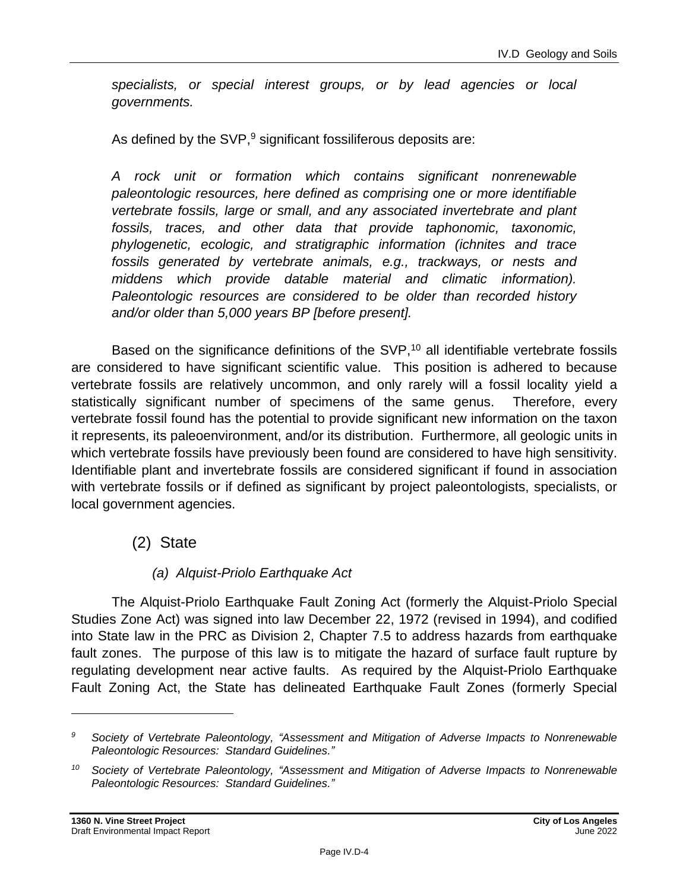*specialists, or special interest groups, or by lead agencies or local governments.*

As defined by the SVP, $9$  significant fossiliferous deposits are:

*A rock unit or formation which contains significant nonrenewable paleontologic resources, here defined as comprising one or more identifiable vertebrate fossils, large or small, and any associated invertebrate and plant fossils, traces, and other data that provide taphonomic, taxonomic, phylogenetic, ecologic, and stratigraphic information (ichnites and trace fossils generated by vertebrate animals, e.g., trackways, or nests and middens which provide datable material and climatic information). Paleontologic resources are considered to be older than recorded history and/or older than 5,000 years BP [before present].*

Based on the significance definitions of the SVP,<sup>10</sup> all identifiable vertebrate fossils are considered to have significant scientific value. This position is adhered to because vertebrate fossils are relatively uncommon, and only rarely will a fossil locality yield a statistically significant number of specimens of the same genus. Therefore, every vertebrate fossil found has the potential to provide significant new information on the taxon it represents, its paleoenvironment, and/or its distribution. Furthermore, all geologic units in which vertebrate fossils have previously been found are considered to have high sensitivity. Identifiable plant and invertebrate fossils are considered significant if found in association with vertebrate fossils or if defined as significant by project paleontologists, specialists, or local government agencies.

#### (2) State

#### *(a) Alquist-Priolo Earthquake Act*

The Alquist-Priolo Earthquake Fault Zoning Act (formerly the Alquist-Priolo Special Studies Zone Act) was signed into law December 22, 1972 (revised in 1994), and codified into State law in the PRC as Division 2, Chapter 7.5 to address hazards from earthquake fault zones. The purpose of this law is to mitigate the hazard of surface fault rupture by regulating development near active faults. As required by the Alquist-Priolo Earthquake Fault Zoning Act, the State has delineated Earthquake Fault Zones (formerly Special

*<sup>9</sup> Society of Vertebrate Paleontology, "Assessment and Mitigation of Adverse Impacts to Nonrenewable Paleontologic Resources: Standard Guidelines."*

*<sup>10</sup> Society of Vertebrate Paleontology, "Assessment and Mitigation of Adverse Impacts to Nonrenewable Paleontologic Resources: Standard Guidelines."*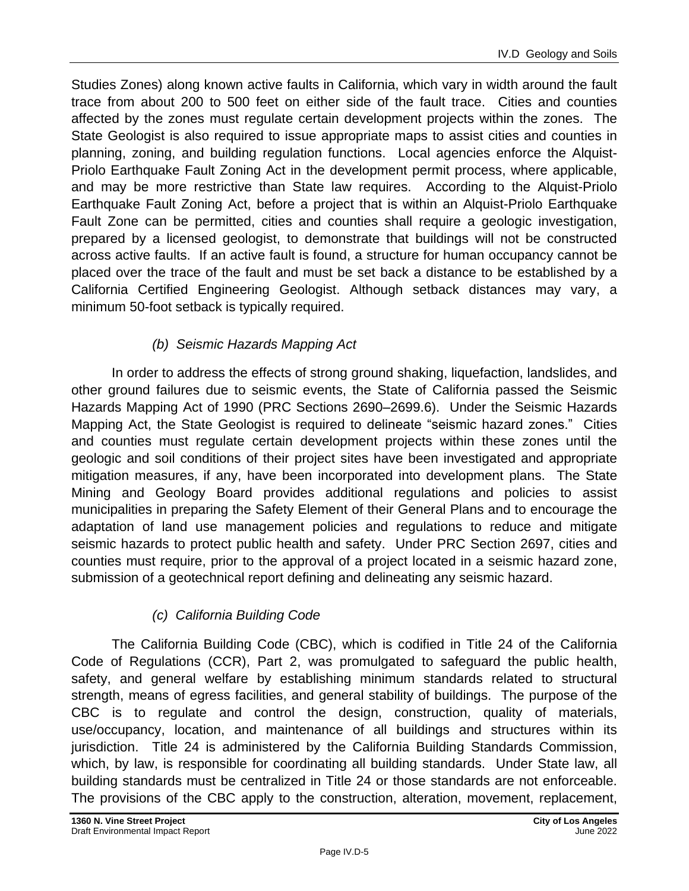Studies Zones) along known active faults in California, which vary in width around the fault trace from about 200 to 500 feet on either side of the fault trace. Cities and counties affected by the zones must regulate certain development projects within the zones. The State Geologist is also required to issue appropriate maps to assist cities and counties in planning, zoning, and building regulation functions. Local agencies enforce the Alquist-Priolo Earthquake Fault Zoning Act in the development permit process, where applicable, and may be more restrictive than State law requires. According to the Alquist-Priolo Earthquake Fault Zoning Act, before a project that is within an Alquist-Priolo Earthquake Fault Zone can be permitted, cities and counties shall require a geologic investigation, prepared by a licensed geologist, to demonstrate that buildings will not be constructed across active faults. If an active fault is found, a structure for human occupancy cannot be placed over the trace of the fault and must be set back a distance to be established by a California Certified Engineering Geologist. Although setback distances may vary, a minimum 50-foot setback is typically required.

### *(b) Seismic Hazards Mapping Act*

In order to address the effects of strong ground shaking, liquefaction, landslides, and other ground failures due to seismic events, the State of California passed the Seismic Hazards Mapping Act of 1990 (PRC Sections 2690–2699.6). Under the Seismic Hazards Mapping Act, the State Geologist is required to delineate "seismic hazard zones." Cities and counties must regulate certain development projects within these zones until the geologic and soil conditions of their project sites have been investigated and appropriate mitigation measures, if any, have been incorporated into development plans. The State Mining and Geology Board provides additional regulations and policies to assist municipalities in preparing the Safety Element of their General Plans and to encourage the adaptation of land use management policies and regulations to reduce and mitigate seismic hazards to protect public health and safety. Under PRC Section 2697, cities and counties must require, prior to the approval of a project located in a seismic hazard zone, submission of a geotechnical report defining and delineating any seismic hazard.

#### *(c) California Building Code*

The California Building Code (CBC), which is codified in Title 24 of the California Code of Regulations (CCR), Part 2, was promulgated to safeguard the public health, safety, and general welfare by establishing minimum standards related to structural strength, means of egress facilities, and general stability of buildings. The purpose of the CBC is to regulate and control the design, construction, quality of materials, use/occupancy, location, and maintenance of all buildings and structures within its jurisdiction. Title 24 is administered by the California Building Standards Commission, which, by law, is responsible for coordinating all building standards. Under State law, all building standards must be centralized in Title 24 or those standards are not enforceable. The provisions of the CBC apply to the construction, alteration, movement, replacement,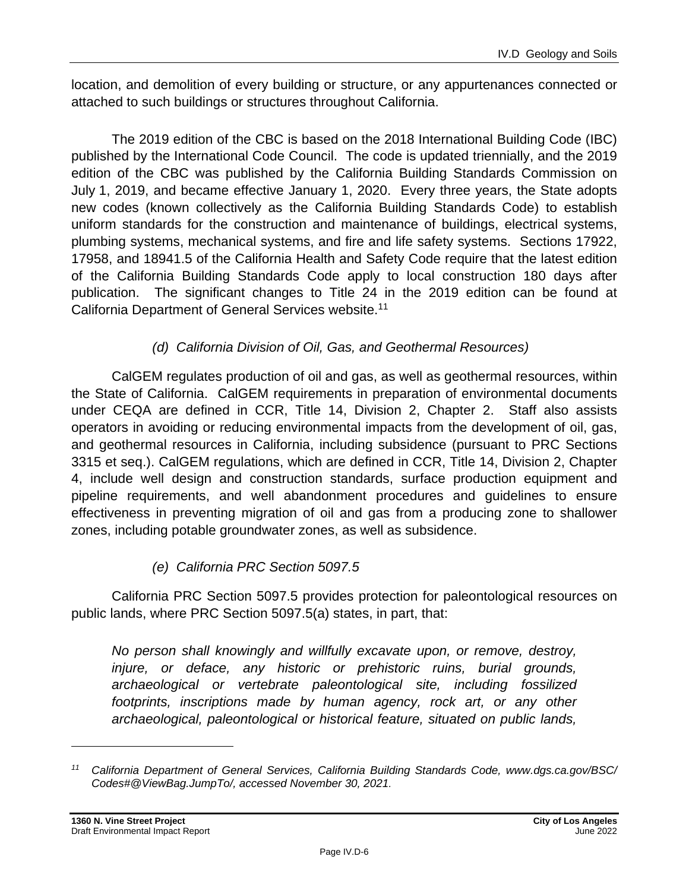location, and demolition of every building or structure, or any appurtenances connected or attached to such buildings or structures throughout California.

The 2019 edition of the CBC is based on the 2018 International Building Code (IBC) published by the International Code Council. The code is updated triennially, and the 2019 edition of the CBC was published by the California Building Standards Commission on July 1, 2019, and became effective January 1, 2020. Every three years, the State adopts new codes (known collectively as the California Building Standards Code) to establish uniform standards for the construction and maintenance of buildings, electrical systems, plumbing systems, mechanical systems, and fire and life safety systems. Sections 17922, 17958, and 18941.5 of the California Health and Safety Code require that the latest edition of the California Building Standards Code apply to local construction 180 days after publication. The significant changes to Title 24 in the 2019 edition can be found at California Department of General Services website. 11

#### *(d) California Division of Oil, Gas, and Geothermal Resources)*

CalGEM regulates production of oil and gas, as well as geothermal resources, within the State of California. CalGEM requirements in preparation of environmental documents under CEQA are defined in CCR, Title 14, Division 2, Chapter 2. Staff also assists operators in avoiding or reducing environmental impacts from the development of oil, gas, and geothermal resources in California, including subsidence (pursuant to PRC Sections 3315 et seq.). CalGEM regulations, which are defined in CCR, Title 14, Division 2, Chapter 4, include well design and construction standards, surface production equipment and pipeline requirements, and well abandonment procedures and guidelines to ensure effectiveness in preventing migration of oil and gas from a producing zone to shallower zones, including potable groundwater zones, as well as subsidence.

#### *(e) California PRC Section 5097.5*

California PRC Section 5097.5 provides protection for paleontological resources on public lands, where PRC Section 5097.5(a) states, in part, that:

*No person shall knowingly and willfully excavate upon, or remove, destroy, injure, or deface, any historic or prehistoric ruins, burial grounds, archaeological or vertebrate paleontological site, including fossilized footprints, inscriptions made by human agency, rock art, or any other archaeological, paleontological or historical feature, situated on public lands,* 

*<sup>11</sup> California Department of General Services, California Building Standards Code, www.dgs.ca.gov/BSC/ Codes#@ViewBag.JumpTo/, accessed November 30, 2021.*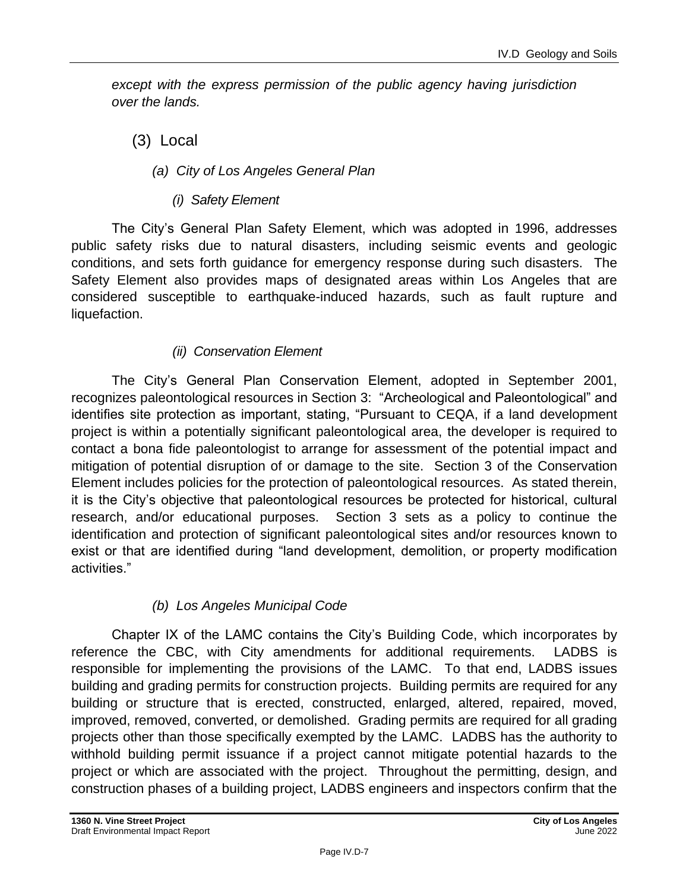*except with the express permission of the public agency having jurisdiction over the lands.*

(3) Local

- *(a) City of Los Angeles General Plan*
	- *(i) Safety Element*

The City's General Plan Safety Element, which was adopted in 1996, addresses public safety risks due to natural disasters, including seismic events and geologic conditions, and sets forth guidance for emergency response during such disasters. The Safety Element also provides maps of designated areas within Los Angeles that are considered susceptible to earthquake-induced hazards, such as fault rupture and liquefaction.

# *(ii) Conservation Element*

The City's General Plan Conservation Element, adopted in September 2001, recognizes paleontological resources in Section 3: "Archeological and Paleontological" and identifies site protection as important, stating, "Pursuant to CEQA, if a land development project is within a potentially significant paleontological area, the developer is required to contact a bona fide paleontologist to arrange for assessment of the potential impact and mitigation of potential disruption of or damage to the site. Section 3 of the Conservation Element includes policies for the protection of paleontological resources. As stated therein, it is the City's objective that paleontological resources be protected for historical, cultural research, and/or educational purposes. Section 3 sets as a policy to continue the identification and protection of significant paleontological sites and/or resources known to exist or that are identified during "land development, demolition, or property modification activities."

# *(b) Los Angeles Municipal Code*

Chapter IX of the LAMC contains the City's Building Code, which incorporates by reference the CBC, with City amendments for additional requirements. LADBS is responsible for implementing the provisions of the LAMC. To that end, LADBS issues building and grading permits for construction projects. Building permits are required for any building or structure that is erected, constructed, enlarged, altered, repaired, moved, improved, removed, converted, or demolished. Grading permits are required for all grading projects other than those specifically exempted by the LAMC. LADBS has the authority to withhold building permit issuance if a project cannot mitigate potential hazards to the project or which are associated with the project. Throughout the permitting, design, and construction phases of a building project, LADBS engineers and inspectors confirm that the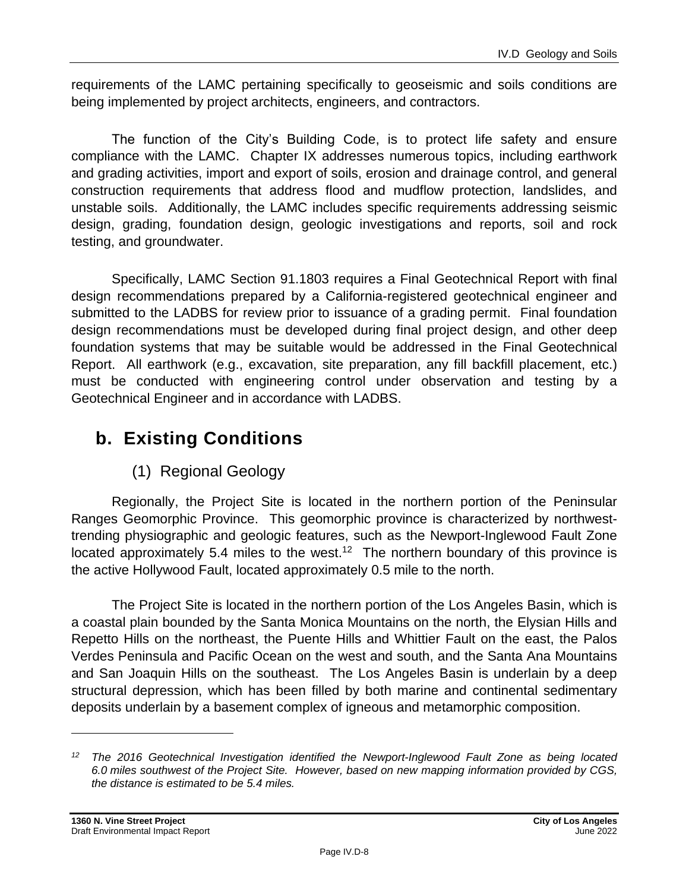requirements of the LAMC pertaining specifically to geoseismic and soils conditions are being implemented by project architects, engineers, and contractors.

The function of the City's Building Code, is to protect life safety and ensure compliance with the LAMC. Chapter IX addresses numerous topics, including earthwork and grading activities, import and export of soils, erosion and drainage control, and general construction requirements that address flood and mudflow protection, landslides, and unstable soils. Additionally, the LAMC includes specific requirements addressing seismic design, grading, foundation design, geologic investigations and reports, soil and rock testing, and groundwater.

Specifically, LAMC Section 91.1803 requires a Final Geotechnical Report with final design recommendations prepared by a California-registered geotechnical engineer and submitted to the LADBS for review prior to issuance of a grading permit. Final foundation design recommendations must be developed during final project design, and other deep foundation systems that may be suitable would be addressed in the Final Geotechnical Report. All earthwork (e.g., excavation, site preparation, any fill backfill placement, etc.) must be conducted with engineering control under observation and testing by a Geotechnical Engineer and in accordance with LADBS.

# **b. Existing Conditions**

# (1) Regional Geology

Regionally, the Project Site is located in the northern portion of the Peninsular Ranges Geomorphic Province. This geomorphic province is characterized by northwesttrending physiographic and geologic features, such as the Newport-Inglewood Fault Zone located approximately 5.4 miles to the west.<sup>12</sup> The northern boundary of this province is the active Hollywood Fault, located approximately 0.5 mile to the north.

The Project Site is located in the northern portion of the Los Angeles Basin, which is a coastal plain bounded by the Santa Monica Mountains on the north, the Elysian Hills and Repetto Hills on the northeast, the Puente Hills and Whittier Fault on the east, the Palos Verdes Peninsula and Pacific Ocean on the west and south, and the Santa Ana Mountains and San Joaquin Hills on the southeast. The Los Angeles Basin is underlain by a deep structural depression, which has been filled by both marine and continental sedimentary deposits underlain by a basement complex of igneous and metamorphic composition.

*<sup>12</sup> The 2016 Geotechnical Investigation identified the Newport-Inglewood Fault Zone as being located 6.0 miles southwest of the Project Site. However, based on new mapping information provided by CGS, the distance is estimated to be 5.4 miles.*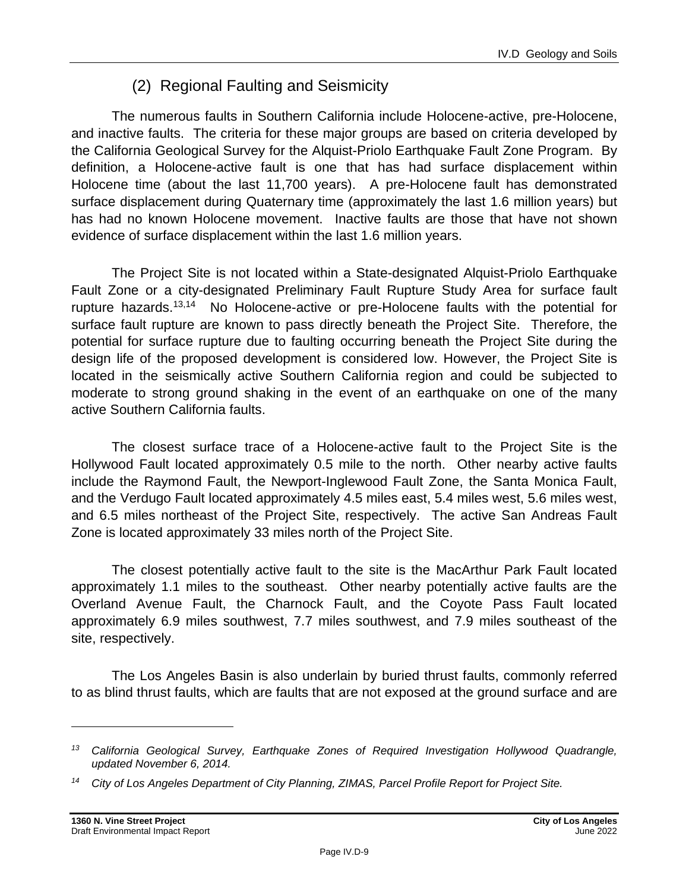# (2) Regional Faulting and Seismicity

The numerous faults in Southern California include Holocene-active, pre-Holocene, and inactive faults. The criteria for these major groups are based on criteria developed by the California Geological Survey for the Alquist-Priolo Earthquake Fault Zone Program. By definition, a Holocene-active fault is one that has had surface displacement within Holocene time (about the last 11,700 years). A pre-Holocene fault has demonstrated surface displacement during Quaternary time (approximately the last 1.6 million years) but has had no known Holocene movement. Inactive faults are those that have not shown evidence of surface displacement within the last 1.6 million years.

The Project Site is not located within a State-designated Alquist-Priolo Earthquake Fault Zone or a city-designated Preliminary Fault Rupture Study Area for surface fault rupture hazards.<sup>13,14</sup> No Holocene-active or pre-Holocene faults with the potential for surface fault rupture are known to pass directly beneath the Project Site. Therefore, the potential for surface rupture due to faulting occurring beneath the Project Site during the design life of the proposed development is considered low. However, the Project Site is located in the seismically active Southern California region and could be subjected to moderate to strong ground shaking in the event of an earthquake on one of the many active Southern California faults.

The closest surface trace of a Holocene-active fault to the Project Site is the Hollywood Fault located approximately 0.5 mile to the north. Other nearby active faults include the Raymond Fault, the Newport-Inglewood Fault Zone, the Santa Monica Fault, and the Verdugo Fault located approximately 4.5 miles east, 5.4 miles west, 5.6 miles west, and 6.5 miles northeast of the Project Site, respectively. The active San Andreas Fault Zone is located approximately 33 miles north of the Project Site.

The closest potentially active fault to the site is the MacArthur Park Fault located approximately 1.1 miles to the southeast. Other nearby potentially active faults are the Overland Avenue Fault, the Charnock Fault, and the Coyote Pass Fault located approximately 6.9 miles southwest, 7.7 miles southwest, and 7.9 miles southeast of the site, respectively.

The Los Angeles Basin is also underlain by buried thrust faults, commonly referred to as blind thrust faults, which are faults that are not exposed at the ground surface and are

*<sup>13</sup> California Geological Survey, Earthquake Zones of Required Investigation Hollywood Quadrangle, updated November 6, 2014.*

*<sup>14</sup> City of Los Angeles Department of City Planning, ZIMAS, Parcel Profile Report for Project Site.*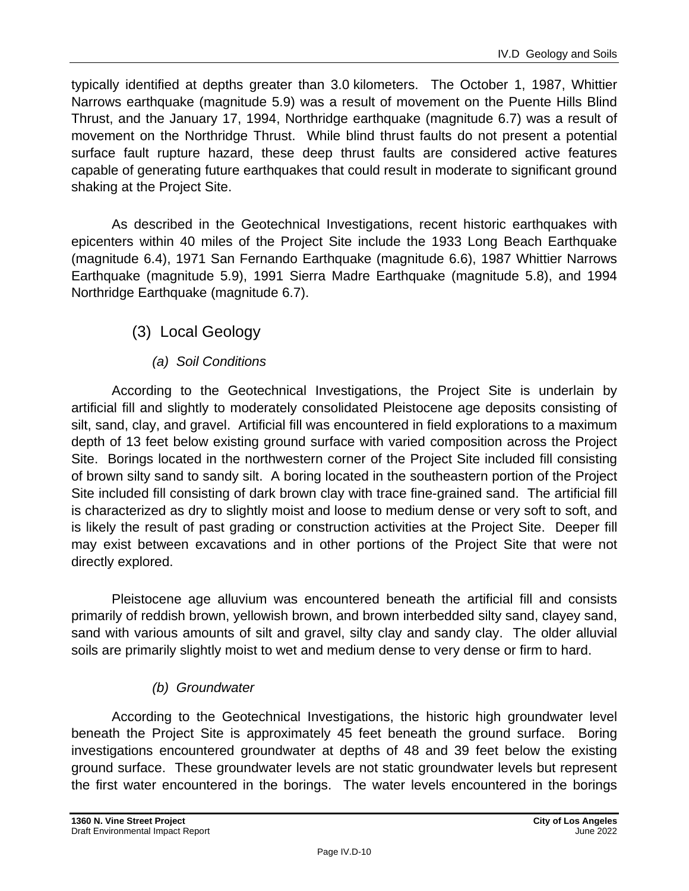typically identified at depths greater than 3.0 kilometers. The October 1, 1987, Whittier Narrows earthquake (magnitude 5.9) was a result of movement on the Puente Hills Blind Thrust, and the January 17, 1994, Northridge earthquake (magnitude 6.7) was a result of movement on the Northridge Thrust. While blind thrust faults do not present a potential surface fault rupture hazard, these deep thrust faults are considered active features capable of generating future earthquakes that could result in moderate to significant ground shaking at the Project Site.

As described in the Geotechnical Investigations, recent historic earthquakes with epicenters within 40 miles of the Project Site include the 1933 Long Beach Earthquake (magnitude 6.4), 1971 San Fernando Earthquake (magnitude 6.6), 1987 Whittier Narrows Earthquake (magnitude 5.9), 1991 Sierra Madre Earthquake (magnitude 5.8), and 1994 Northridge Earthquake (magnitude 6.7).

# (3) Local Geology

### *(a) Soil Conditions*

According to the Geotechnical Investigations, the Project Site is underlain by artificial fill and slightly to moderately consolidated Pleistocene age deposits consisting of silt, sand, clay, and gravel. Artificial fill was encountered in field explorations to a maximum depth of 13 feet below existing ground surface with varied composition across the Project Site. Borings located in the northwestern corner of the Project Site included fill consisting of brown silty sand to sandy silt. A boring located in the southeastern portion of the Project Site included fill consisting of dark brown clay with trace fine-grained sand. The artificial fill is characterized as dry to slightly moist and loose to medium dense or very soft to soft, and is likely the result of past grading or construction activities at the Project Site. Deeper fill may exist between excavations and in other portions of the Project Site that were not directly explored.

Pleistocene age alluvium was encountered beneath the artificial fill and consists primarily of reddish brown, yellowish brown, and brown interbedded silty sand, clayey sand, sand with various amounts of silt and gravel, silty clay and sandy clay. The older alluvial soils are primarily slightly moist to wet and medium dense to very dense or firm to hard.

#### *(b) Groundwater*

According to the Geotechnical Investigations, the historic high groundwater level beneath the Project Site is approximately 45 feet beneath the ground surface. Boring investigations encountered groundwater at depths of 48 and 39 feet below the existing ground surface. These groundwater levels are not static groundwater levels but represent the first water encountered in the borings. The water levels encountered in the borings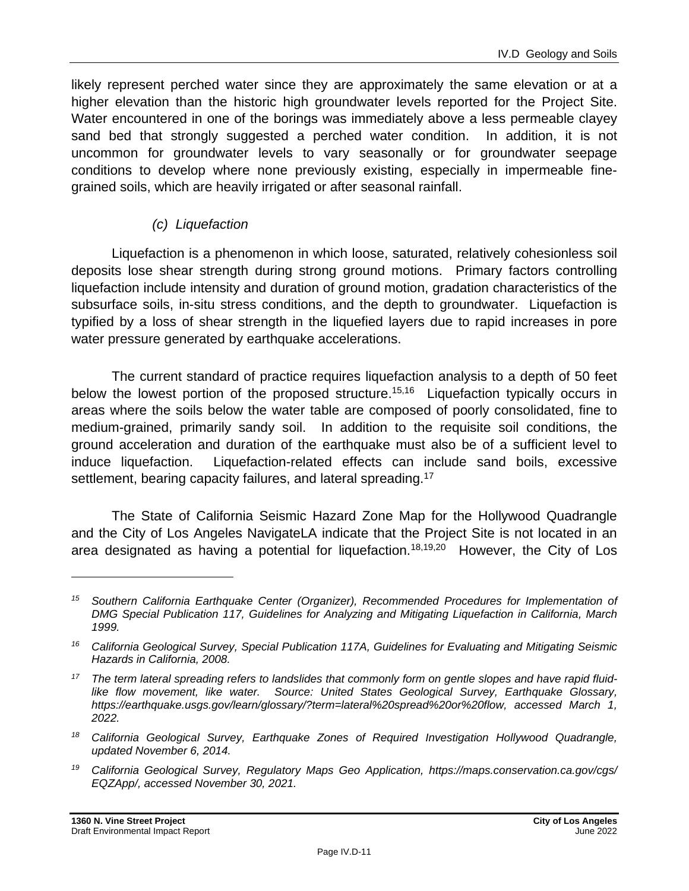likely represent perched water since they are approximately the same elevation or at a higher elevation than the historic high groundwater levels reported for the Project Site. Water encountered in one of the borings was immediately above a less permeable clayey sand bed that strongly suggested a perched water condition. In addition, it is not uncommon for groundwater levels to vary seasonally or for groundwater seepage conditions to develop where none previously existing, especially in impermeable finegrained soils, which are heavily irrigated or after seasonal rainfall.

#### *(c) Liquefaction*

Liquefaction is a phenomenon in which loose, saturated, relatively cohesionless soil deposits lose shear strength during strong ground motions. Primary factors controlling liquefaction include intensity and duration of ground motion, gradation characteristics of the subsurface soils, in-situ stress conditions, and the depth to groundwater. Liquefaction is typified by a loss of shear strength in the liquefied layers due to rapid increases in pore water pressure generated by earthquake accelerations.

The current standard of practice requires liquefaction analysis to a depth of 50 feet below the lowest portion of the proposed structure.<sup>15,16</sup> Liquefaction typically occurs in areas where the soils below the water table are composed of poorly consolidated, fine to medium-grained, primarily sandy soil. In addition to the requisite soil conditions, the ground acceleration and duration of the earthquake must also be of a sufficient level to induce liquefaction. Liquefaction-related effects can include sand boils, excessive settlement, bearing capacity failures, and lateral spreading.<sup>17</sup>

The State of California Seismic Hazard Zone Map for the Hollywood Quadrangle and the City of Los Angeles NavigateLA indicate that the Project Site is not located in an area designated as having a potential for liquefaction.<sup>18,19,20</sup> However, the City of Los

*<sup>15</sup> Southern California Earthquake Center (Organizer), Recommended Procedures for Implementation of DMG Special Publication 117, Guidelines for Analyzing and Mitigating Liquefaction in California, March 1999.*

*<sup>16</sup> California Geological Survey, Special Publication 117A, Guidelines for Evaluating and Mitigating Seismic Hazards in California, 2008.*

*<sup>17</sup> The term lateral spreading refers to landslides that commonly form on gentle slopes and have rapid fluidlike flow movement, like water. Source: United States Geological Survey, Earthquake Glossary, https://earthquake.usgs.gov/learn/glossary/?term=lateral%20spread%20or%20flow, accessed March 1, 2022.*

*<sup>18</sup> California Geological Survey, Earthquake Zones of Required Investigation Hollywood Quadrangle, updated November 6, 2014.*

*<sup>19</sup> California Geological Survey, Regulatory Maps Geo Application, https://maps.conservation.ca.gov/cgs/ EQZApp/, accessed November 30, 2021.*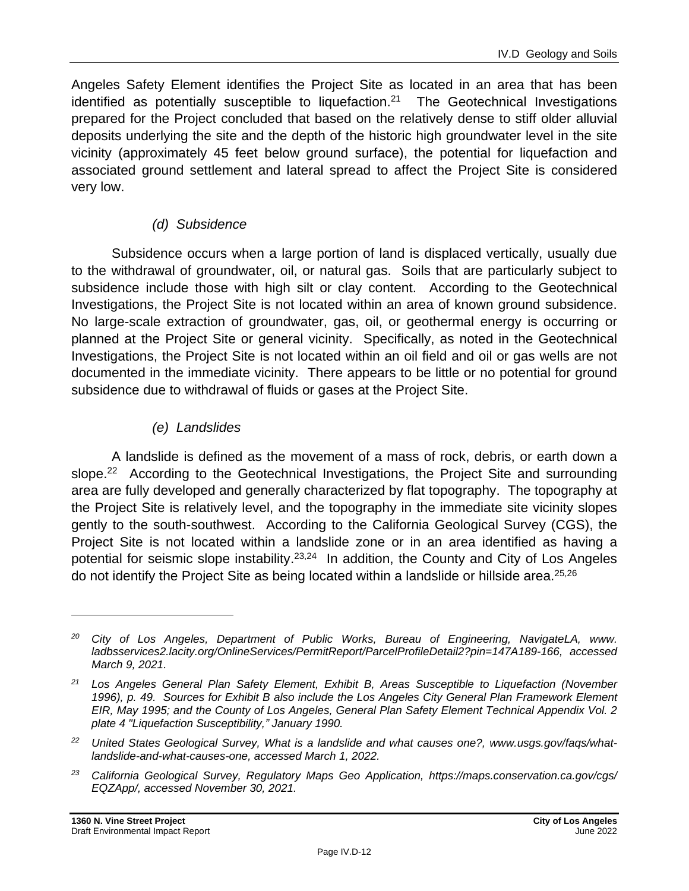Angeles Safety Element identifies the Project Site as located in an area that has been identified as potentially susceptible to liquefaction.<sup>21</sup> The Geotechnical Investigations prepared for the Project concluded that based on the relatively dense to stiff older alluvial deposits underlying the site and the depth of the historic high groundwater level in the site vicinity (approximately 45 feet below ground surface), the potential for liquefaction and associated ground settlement and lateral spread to affect the Project Site is considered very low.

#### *(d) Subsidence*

Subsidence occurs when a large portion of land is displaced vertically, usually due to the withdrawal of groundwater, oil, or natural gas. Soils that are particularly subject to subsidence include those with high silt or clay content. According to the Geotechnical Investigations, the Project Site is not located within an area of known ground subsidence. No large-scale extraction of groundwater, gas, oil, or geothermal energy is occurring or planned at the Project Site or general vicinity. Specifically, as noted in the Geotechnical Investigations, the Project Site is not located within an oil field and oil or gas wells are not documented in the immediate vicinity. There appears to be little or no potential for ground subsidence due to withdrawal of fluids or gases at the Project Site.

#### *(e) Landslides*

A landslide is defined as the movement of a mass of rock, debris, or earth down a slope.<sup>22</sup> According to the Geotechnical Investigations, the Project Site and surrounding area are fully developed and generally characterized by flat topography. The topography at the Project Site is relatively level, and the topography in the immediate site vicinity slopes gently to the south-southwest. According to the California Geological Survey (CGS), the Project Site is not located within a landslide zone or in an area identified as having a potential for seismic slope instability.<sup>23,24</sup> In addition, the County and City of Los Angeles do not identify the Project Site as being located within a landslide or hillside area.<sup>25,26</sup>

*<sup>23</sup> California Geological Survey, Regulatory Maps Geo Application, https://maps.conservation.ca.gov/cgs/ EQZApp/, accessed November 30, 2021.*

*<sup>20</sup> City of Los Angeles, Department of Public Works, Bureau of Engineering, NavigateLA, www. ladbsservices2.lacity.org/OnlineServices/PermitReport/ParcelProfileDetail2?pin=147A189-166, accessed March 9, 2021.*

*<sup>21</sup> Los Angeles General Plan Safety Element, Exhibit B, Areas Susceptible to Liquefaction (November 1996), p. 49. Sources for Exhibit B also include the Los Angeles City General Plan Framework Element EIR, May 1995; and the County of Los Angeles, General Plan Safety Element Technical Appendix Vol. 2 plate 4 "Liquefaction Susceptibility," January 1990.*

*<sup>22</sup> United States Geological Survey, What is a landslide and what causes one?, www.usgs.gov/faqs/whatlandslide-and-what-causes-one, accessed March 1, 2022.*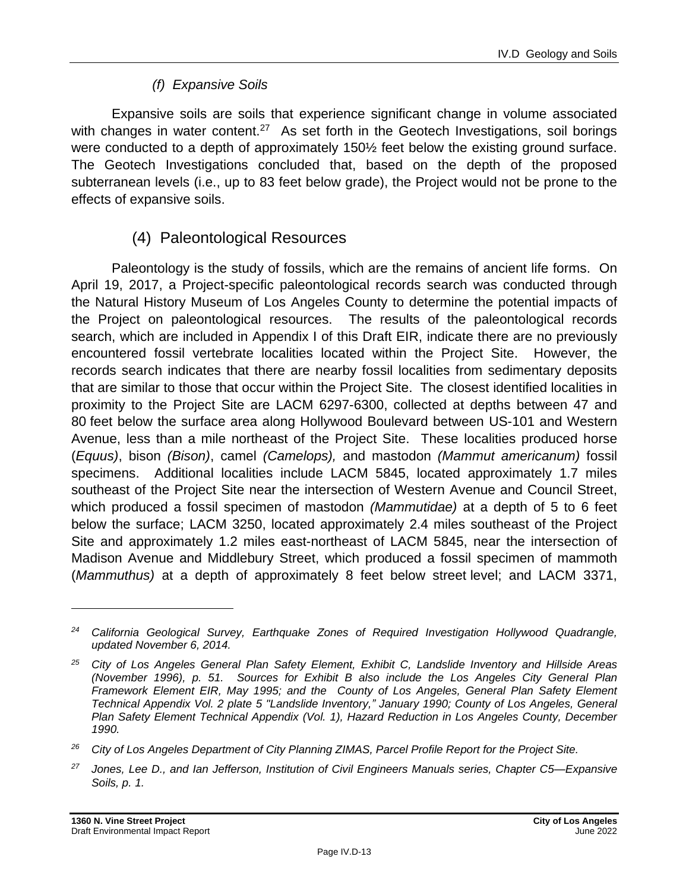### *(f) Expansive Soils*

Expansive soils are soils that experience significant change in volume associated with changes in water content.<sup>27</sup> As set forth in the Geotech Investigations, soil borings were conducted to a depth of approximately 150½ feet below the existing ground surface. The Geotech Investigations concluded that, based on the depth of the proposed subterranean levels (i.e., up to 83 feet below grade), the Project would not be prone to the effects of expansive soils.

# (4) Paleontological Resources

Paleontology is the study of fossils, which are the remains of ancient life forms. On April 19, 2017, a Project-specific paleontological records search was conducted through the Natural History Museum of Los Angeles County to determine the potential impacts of the Project on paleontological resources. The results of the paleontological records search, which are included in Appendix I of this Draft EIR, indicate there are no previously encountered fossil vertebrate localities located within the Project Site. However, the records search indicates that there are nearby fossil localities from sedimentary deposits that are similar to those that occur within the Project Site. The closest identified localities in proximity to the Project Site are LACM 6297-6300, collected at depths between 47 and 80 feet below the surface area along Hollywood Boulevard between US-101 and Western Avenue, less than a mile northeast of the Project Site. These localities produced horse (*Equus)*, bison *(Bison)*, camel *(Camelops),* and mastodon *(Mammut americanum)* fossil specimens. Additional localities include LACM 5845, located approximately 1.7 miles southeast of the Project Site near the intersection of Western Avenue and Council Street, which produced a fossil specimen of mastodon *(Mammutidae)* at a depth of 5 to 6 feet below the surface; LACM 3250, located approximately 2.4 miles southeast of the Project Site and approximately 1.2 miles east-northeast of LACM 5845, near the intersection of Madison Avenue and Middlebury Street, which produced a fossil specimen of mammoth (*Mammuthus)* at a depth of approximately 8 feet below street level; and LACM 3371,

*<sup>24</sup> California Geological Survey, Earthquake Zones of Required Investigation Hollywood Quadrangle, updated November 6, 2014.*

*<sup>25</sup> City of Los Angeles General Plan Safety Element, Exhibit C, Landslide Inventory and Hillside Areas (November 1996), p. 51. Sources for Exhibit B also include the Los Angeles City General Plan Framework Element EIR, May 1995; and the County of Los Angeles, General Plan Safety Element Technical Appendix Vol. 2 plate 5 "Landslide Inventory," January 1990; County of Los Angeles, General Plan Safety Element Technical Appendix (Vol. 1), Hazard Reduction in Los Angeles County, December 1990.*

*<sup>26</sup> City of Los Angeles Department of City Planning ZIMAS, Parcel Profile Report for the Project Site.*

*<sup>27</sup> Jones, Lee D., and Ian Jefferson, Institution of Civil Engineers Manuals series, Chapter C5—Expansive Soils, p. 1.*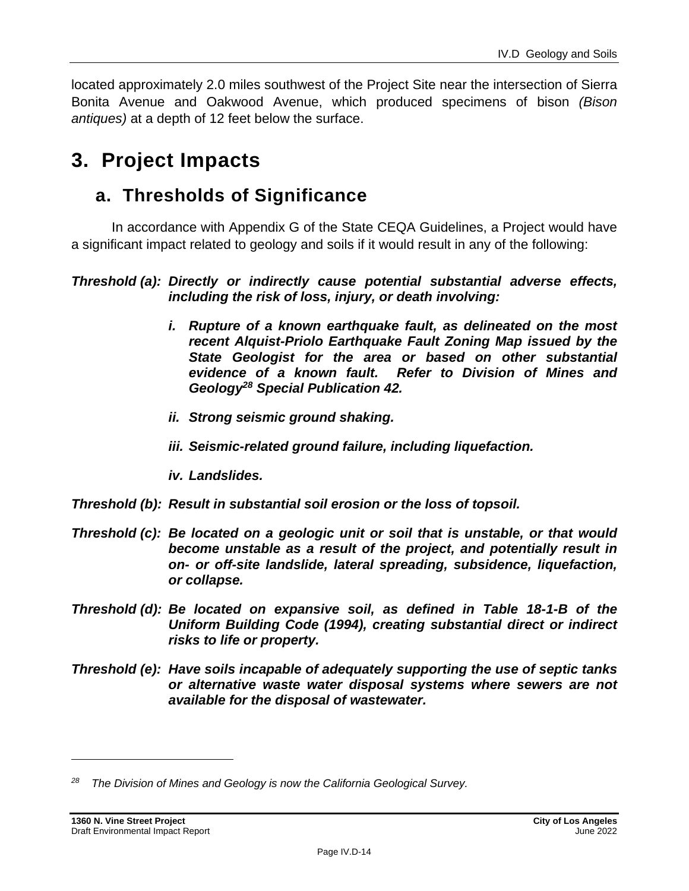located approximately 2.0 miles southwest of the Project Site near the intersection of Sierra Bonita Avenue and Oakwood Avenue, which produced specimens of bison *(Bison antiques)* at a depth of 12 feet below the surface.

# **3. Project Impacts**

# **a. Thresholds of Significance**

In accordance with Appendix G of the State CEQA Guidelines, a Project would have a significant impact related to geology and soils if it would result in any of the following:

#### *Threshold (a): Directly or indirectly cause potential substantial adverse effects, including the risk of loss, injury, or death involving:*

- *i. Rupture of a known earthquake fault, as delineated on the most recent Alquist-Priolo Earthquake Fault Zoning Map issued by the State Geologist for the area or based on other substantial evidence of a known fault. Refer to Division of Mines and Geology<sup>28</sup> Special Publication 42.*
- *ii. Strong seismic ground shaking.*
- *iii. Seismic-related ground failure, including liquefaction.*
- *iv. Landslides.*
- *Threshold (b): Result in substantial soil erosion or the loss of topsoil.*
- *Threshold (c): Be located on a geologic unit or soil that is unstable, or that would become unstable as a result of the project, and potentially result in on- or off-site landslide, lateral spreading, subsidence, liquefaction, or collapse.*
- *Threshold (d): Be located on expansive soil, as defined in Table 18-1-B of the Uniform Building Code (1994), creating substantial direct or indirect risks to life or property.*
- *Threshold (e): Have soils incapable of adequately supporting the use of septic tanks or alternative waste water disposal systems where sewers are not available for the disposal of wastewater.*

*<sup>28</sup> The Division of Mines and Geology is now the California Geological Survey.*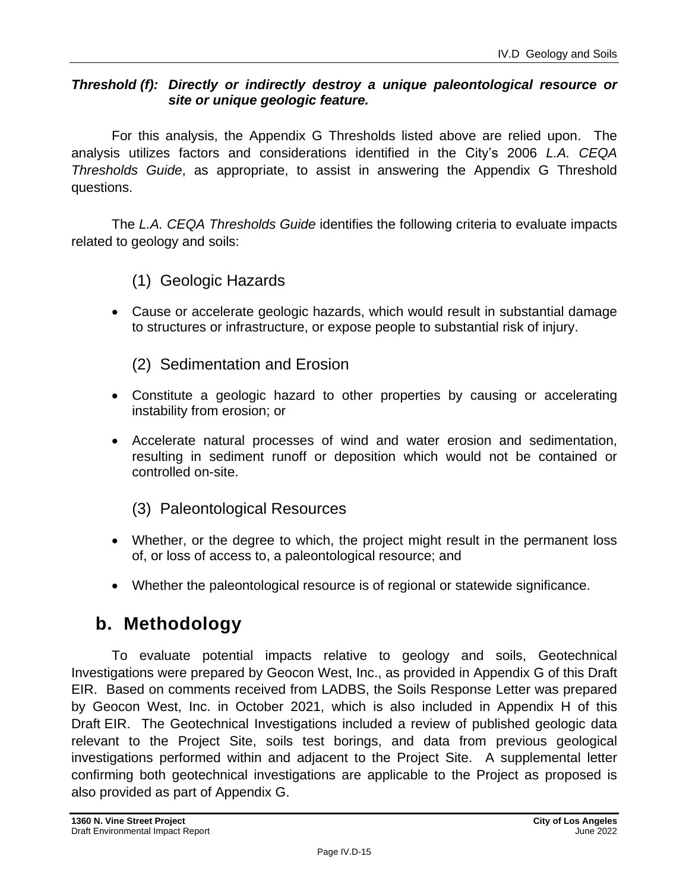#### *Threshold (f): Directly or indirectly destroy a unique paleontological resource or site or unique geologic feature.*

For this analysis, the Appendix G Thresholds listed above are relied upon. The analysis utilizes factors and considerations identified in the City's 2006 *L.A. CEQA Thresholds Guide*, as appropriate, to assist in answering the Appendix G Threshold questions.

The *L.A. CEQA Thresholds Guide* identifies the following criteria to evaluate impacts related to geology and soils:

(1) Geologic Hazards

• Cause or accelerate geologic hazards, which would result in substantial damage to structures or infrastructure, or expose people to substantial risk of injury.

(2) Sedimentation and Erosion

- Constitute a geologic hazard to other properties by causing or accelerating instability from erosion; or
- Accelerate natural processes of wind and water erosion and sedimentation, resulting in sediment runoff or deposition which would not be contained or controlled on-site.

(3) Paleontological Resources

- Whether, or the degree to which, the project might result in the permanent loss of, or loss of access to, a paleontological resource; and
- Whether the paleontological resource is of regional or statewide significance.

# **b. Methodology**

To evaluate potential impacts relative to geology and soils, Geotechnical Investigations were prepared by Geocon West, Inc., as provided in Appendix G of this Draft EIR. Based on comments received from LADBS, the Soils Response Letter was prepared by Geocon West, Inc. in October 2021, which is also included in Appendix H of this Draft EIR. The Geotechnical Investigations included a review of published geologic data relevant to the Project Site, soils test borings, and data from previous geological investigations performed within and adjacent to the Project Site. A supplemental letter confirming both geotechnical investigations are applicable to the Project as proposed is also provided as part of Appendix G.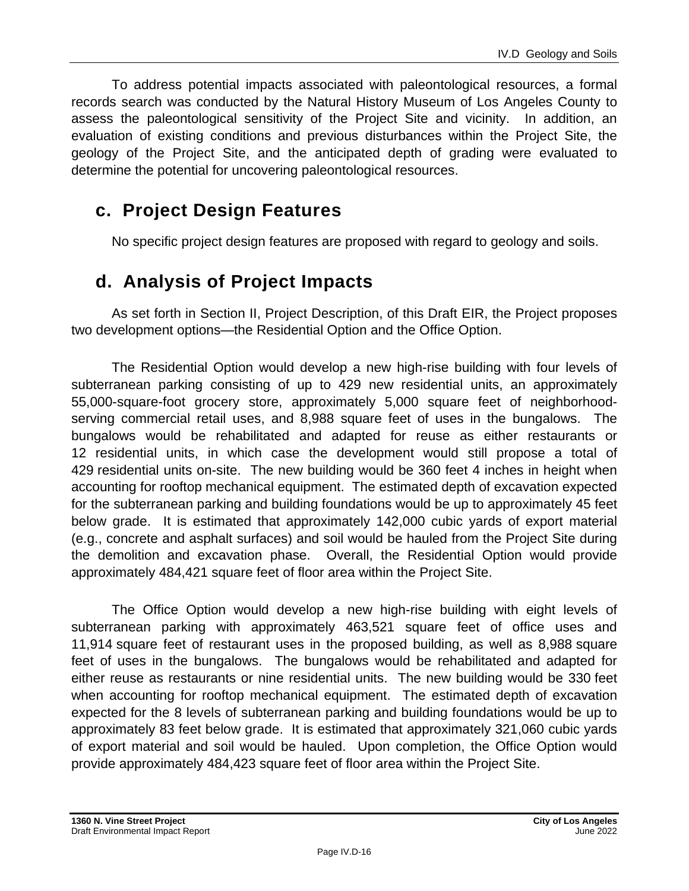To address potential impacts associated with paleontological resources, a formal records search was conducted by the Natural History Museum of Los Angeles County to assess the paleontological sensitivity of the Project Site and vicinity. In addition, an evaluation of existing conditions and previous disturbances within the Project Site, the geology of the Project Site, and the anticipated depth of grading were evaluated to determine the potential for uncovering paleontological resources.

# **c. Project Design Features**

No specific project design features are proposed with regard to geology and soils.

# **d. Analysis of Project Impacts**

As set forth in Section II, Project Description, of this Draft EIR, the Project proposes two development options—the Residential Option and the Office Option.

The Residential Option would develop a new high-rise building with four levels of subterranean parking consisting of up to 429 new residential units, an approximately 55,000-square-foot grocery store, approximately 5,000 square feet of neighborhoodserving commercial retail uses, and 8,988 square feet of uses in the bungalows. The bungalows would be rehabilitated and adapted for reuse as either restaurants or 12 residential units, in which case the development would still propose a total of 429 residential units on-site. The new building would be 360 feet 4 inches in height when accounting for rooftop mechanical equipment. The estimated depth of excavation expected for the subterranean parking and building foundations would be up to approximately 45 feet below grade. It is estimated that approximately 142,000 cubic yards of export material (e.g., concrete and asphalt surfaces) and soil would be hauled from the Project Site during the demolition and excavation phase. Overall, the Residential Option would provide approximately 484,421 square feet of floor area within the Project Site.

The Office Option would develop a new high-rise building with eight levels of subterranean parking with approximately 463,521 square feet of office uses and 11,914 square feet of restaurant uses in the proposed building, as well as 8,988 square feet of uses in the bungalows. The bungalows would be rehabilitated and adapted for either reuse as restaurants or nine residential units. The new building would be 330 feet when accounting for rooftop mechanical equipment. The estimated depth of excavation expected for the 8 levels of subterranean parking and building foundations would be up to approximately 83 feet below grade. It is estimated that approximately 321,060 cubic yards of export material and soil would be hauled. Upon completion, the Office Option would provide approximately 484,423 square feet of floor area within the Project Site.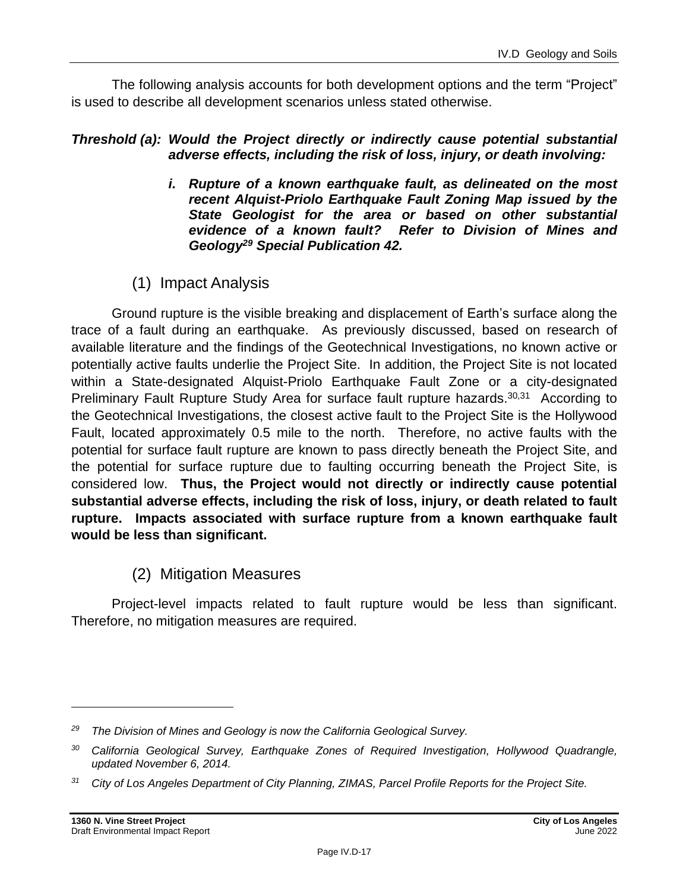The following analysis accounts for both development options and the term "Project" is used to describe all development scenarios unless stated otherwise.

#### *Threshold (a): Would the Project directly or indirectly cause potential substantial adverse effects, including the risk of loss, injury, or death involving:*

- *i. Rupture of a known earthquake fault, as delineated on the most recent Alquist-Priolo Earthquake Fault Zoning Map issued by the State Geologist for the area or based on other substantial evidence of a known fault? Refer to Division of Mines and Geology<sup>29</sup> Special Publication 42.*
- (1) Impact Analysis

Ground rupture is the visible breaking and displacement of Earth's surface along the trace of a fault during an earthquake. As previously discussed, based on research of available literature and the findings of the Geotechnical Investigations, no known active or potentially active faults underlie the Project Site. In addition, the Project Site is not located within a State-designated Alquist-Priolo Earthquake Fault Zone or a city-designated Preliminary Fault Rupture Study Area for surface fault rupture hazards.<sup>30,31</sup> According to the Geotechnical Investigations, the closest active fault to the Project Site is the Hollywood Fault, located approximately 0.5 mile to the north. Therefore, no active faults with the potential for surface fault rupture are known to pass directly beneath the Project Site, and the potential for surface rupture due to faulting occurring beneath the Project Site, is considered low. **Thus, the Project would not directly or indirectly cause potential substantial adverse effects, including the risk of loss, injury, or death related to fault rupture. Impacts associated with surface rupture from a known earthquake fault would be less than significant.**

# (2) Mitigation Measures

Project-level impacts related to fault rupture would be less than significant. Therefore, no mitigation measures are required.

*<sup>29</sup> The Division of Mines and Geology is now the California Geological Survey.*

*<sup>30</sup> California Geological Survey, Earthquake Zones of Required Investigation, Hollywood Quadrangle, updated November 6, 2014.*

*<sup>31</sup> City of Los Angeles Department of City Planning, ZIMAS, Parcel Profile Reports for the Project Site.*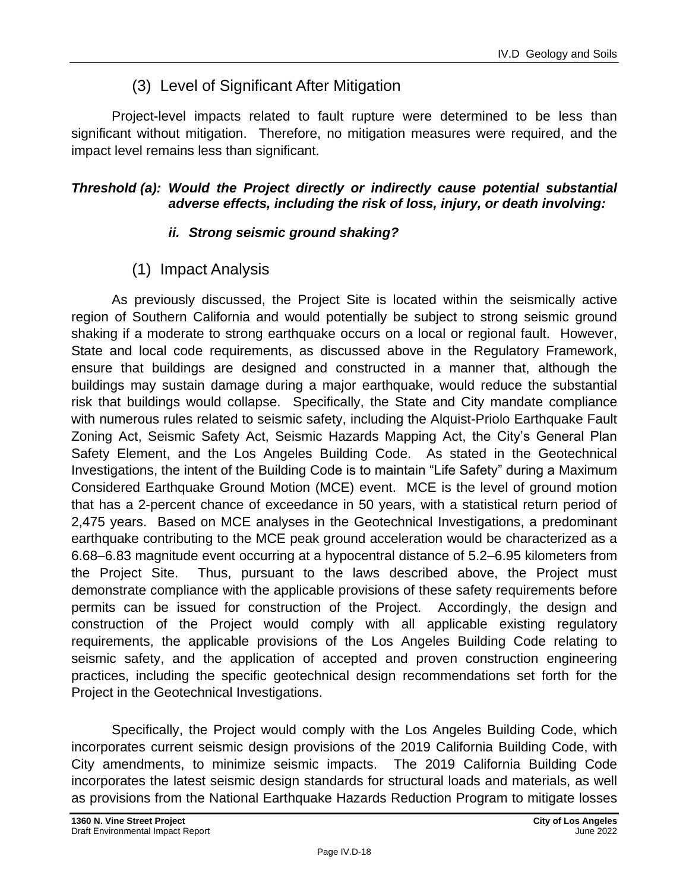# (3) Level of Significant After Mitigation

Project-level impacts related to fault rupture were determined to be less than significant without mitigation. Therefore, no mitigation measures were required, and the impact level remains less than significant.

#### *Threshold (a): Would the Project directly or indirectly cause potential substantial adverse effects, including the risk of loss, injury, or death involving:*

#### *ii. Strong seismic ground shaking?*

# (1) Impact Analysis

As previously discussed, the Project Site is located within the seismically active region of Southern California and would potentially be subject to strong seismic ground shaking if a moderate to strong earthquake occurs on a local or regional fault. However, State and local code requirements, as discussed above in the Regulatory Framework, ensure that buildings are designed and constructed in a manner that, although the buildings may sustain damage during a major earthquake, would reduce the substantial risk that buildings would collapse. Specifically, the State and City mandate compliance with numerous rules related to seismic safety, including the Alquist-Priolo Earthquake Fault Zoning Act, Seismic Safety Act, Seismic Hazards Mapping Act, the City's General Plan Safety Element, and the Los Angeles Building Code. As stated in the Geotechnical Investigations, the intent of the Building Code is to maintain "Life Safety" during a Maximum Considered Earthquake Ground Motion (MCE) event. MCE is the level of ground motion that has a 2-percent chance of exceedance in 50 years, with a statistical return period of 2,475 years. Based on MCE analyses in the Geotechnical Investigations, a predominant earthquake contributing to the MCE peak ground acceleration would be characterized as a 6.68–6.83 magnitude event occurring at a hypocentral distance of 5.2–6.95 kilometers from the Project Site. Thus, pursuant to the laws described above, the Project must demonstrate compliance with the applicable provisions of these safety requirements before permits can be issued for construction of the Project. Accordingly, the design and construction of the Project would comply with all applicable existing regulatory requirements, the applicable provisions of the Los Angeles Building Code relating to seismic safety, and the application of accepted and proven construction engineering practices, including the specific geotechnical design recommendations set forth for the Project in the Geotechnical Investigations.

Specifically, the Project would comply with the Los Angeles Building Code, which incorporates current seismic design provisions of the 2019 California Building Code, with City amendments, to minimize seismic impacts. The 2019 California Building Code incorporates the latest seismic design standards for structural loads and materials, as well as provisions from the National Earthquake Hazards Reduction Program to mitigate losses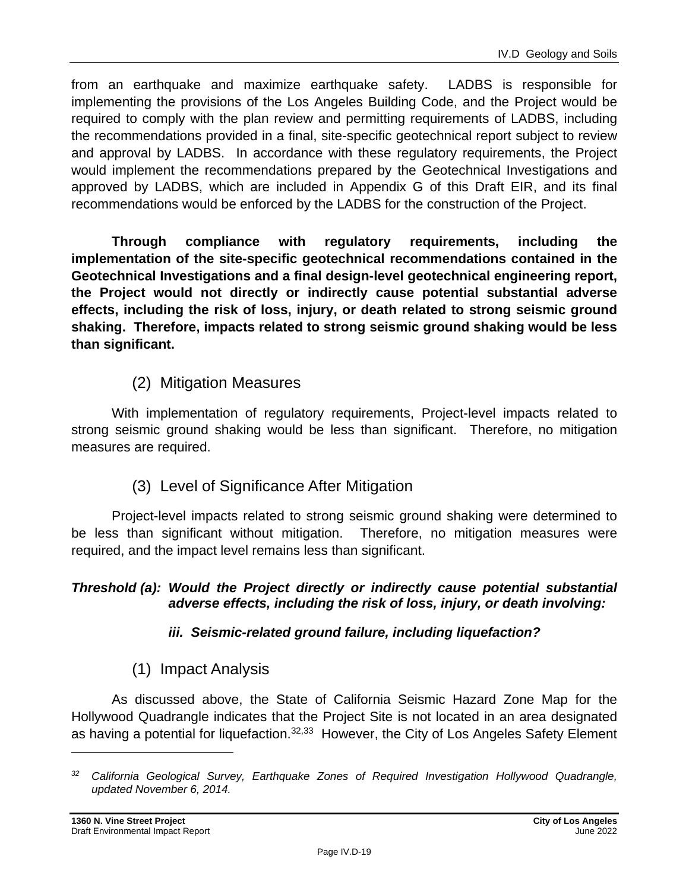from an earthquake and maximize earthquake safety. LADBS is responsible for implementing the provisions of the Los Angeles Building Code, and the Project would be required to comply with the plan review and permitting requirements of LADBS, including the recommendations provided in a final, site-specific geotechnical report subject to review and approval by LADBS. In accordance with these regulatory requirements, the Project would implement the recommendations prepared by the Geotechnical Investigations and approved by LADBS, which are included in Appendix G of this Draft EIR, and its final recommendations would be enforced by the LADBS for the construction of the Project.

**Through compliance with regulatory requirements, including the implementation of the site-specific geotechnical recommendations contained in the Geotechnical Investigations and a final design-level geotechnical engineering report, the Project would not directly or indirectly cause potential substantial adverse effects, including the risk of loss, injury, or death related to strong seismic ground shaking. Therefore, impacts related to strong seismic ground shaking would be less than significant.**

# (2) Mitigation Measures

With implementation of regulatory requirements, Project-level impacts related to strong seismic ground shaking would be less than significant. Therefore, no mitigation measures are required.

#### (3) Level of Significance After Mitigation

Project-level impacts related to strong seismic ground shaking were determined to be less than significant without mitigation. Therefore, no mitigation measures were required, and the impact level remains less than significant.

#### *Threshold (a): Would the Project directly or indirectly cause potential substantial adverse effects, including the risk of loss, injury, or death involving:*

#### *iii. Seismic-related ground failure, including liquefaction?*

# (1) Impact Analysis

As discussed above, the State of California Seismic Hazard Zone Map for the Hollywood Quadrangle indicates that the Project Site is not located in an area designated as having a potential for liquefaction.<sup>32,33</sup> However, the City of Los Angeles Safety Element

*<sup>32</sup> California Geological Survey, Earthquake Zones of Required Investigation Hollywood Quadrangle, updated November 6, 2014.*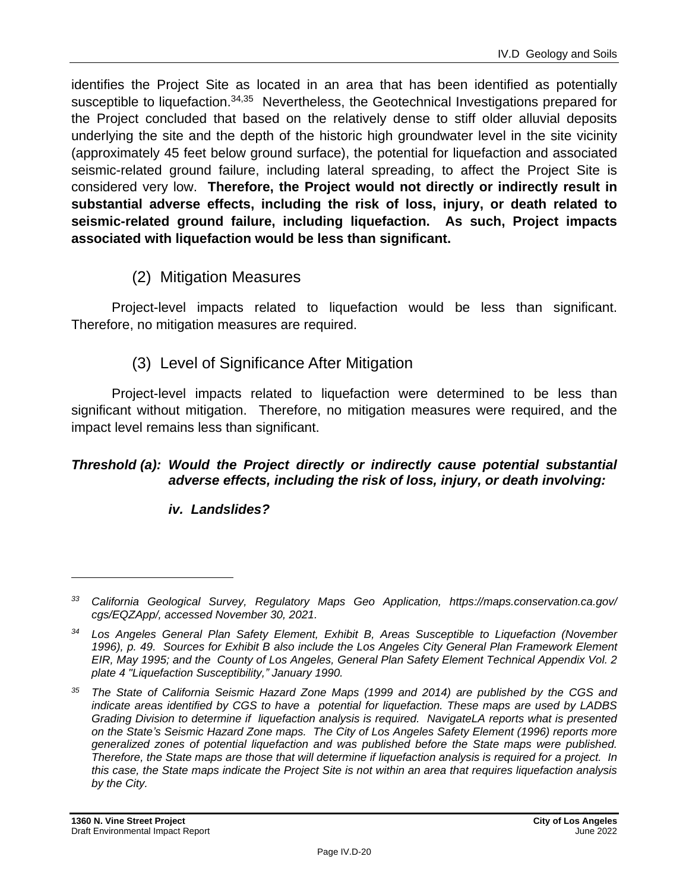identifies the Project Site as located in an area that has been identified as potentially susceptible to liquefaction.<sup>34,35</sup> Nevertheless, the Geotechnical Investigations prepared for the Project concluded that based on the relatively dense to stiff older alluvial deposits underlying the site and the depth of the historic high groundwater level in the site vicinity (approximately 45 feet below ground surface), the potential for liquefaction and associated seismic-related ground failure, including lateral spreading, to affect the Project Site is considered very low. **Therefore, the Project would not directly or indirectly result in substantial adverse effects, including the risk of loss, injury, or death related to seismic-related ground failure, including liquefaction. As such, Project impacts associated with liquefaction would be less than significant.**

# (2) Mitigation Measures

Project-level impacts related to liquefaction would be less than significant. Therefore, no mitigation measures are required.

# (3) Level of Significance After Mitigation

Project-level impacts related to liquefaction were determined to be less than significant without mitigation. Therefore, no mitigation measures were required, and the impact level remains less than significant.

#### *Threshold (a): Would the Project directly or indirectly cause potential substantial adverse effects, including the risk of loss, injury, or death involving:*

#### *iv. Landslides?*

*<sup>33</sup> California Geological Survey, Regulatory Maps Geo Application, https://maps.conservation.ca.gov/ cgs/EQZApp/, accessed November 30, 2021.*

*<sup>34</sup> Los Angeles General Plan Safety Element, Exhibit B, Areas Susceptible to Liquefaction (November 1996), p. 49. Sources for Exhibit B also include the Los Angeles City General Plan Framework Element EIR, May 1995; and the County of Los Angeles, General Plan Safety Element Technical Appendix Vol. 2 plate 4 "Liquefaction Susceptibility," January 1990.*

*<sup>35</sup> The State of California Seismic Hazard Zone Maps (1999 and 2014) are published by the CGS and indicate areas identified by CGS to have a potential for liquefaction. These maps are used by LADBS Grading Division to determine if liquefaction analysis is required. NavigateLA reports what is presented on the State's Seismic Hazard Zone maps. The City of Los Angeles Safety Element (1996) reports more generalized zones of potential liquefaction and was published before the State maps were published. Therefore, the State maps are those that will determine if liquefaction analysis is required for a project. In this case, the State maps indicate the Project Site is not within an area that requires liquefaction analysis by the City.*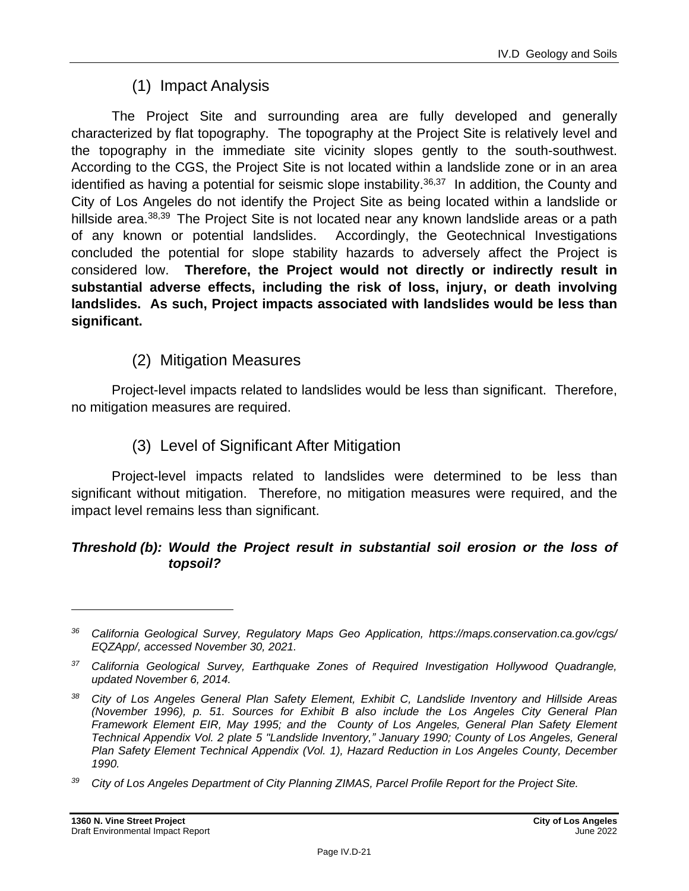# (1) Impact Analysis

The Project Site and surrounding area are fully developed and generally characterized by flat topography. The topography at the Project Site is relatively level and the topography in the immediate site vicinity slopes gently to the south-southwest. According to the CGS, the Project Site is not located within a landslide zone or in an area identified as having a potential for seismic slope instability.<sup>36,37</sup> In addition, the County and City of Los Angeles do not identify the Project Site as being located within a landslide or hillside area.<sup>38,39</sup> The Project Site is not located near any known landslide areas or a path of any known or potential landslides. Accordingly, the Geotechnical Investigations concluded the potential for slope stability hazards to adversely affect the Project is considered low. **Therefore, the Project would not directly or indirectly result in substantial adverse effects, including the risk of loss, injury, or death involving landslides. As such, Project impacts associated with landslides would be less than significant.**

# (2) Mitigation Measures

Project-level impacts related to landslides would be less than significant. Therefore, no mitigation measures are required.

### (3) Level of Significant After Mitigation

Project-level impacts related to landslides were determined to be less than significant without mitigation. Therefore, no mitigation measures were required, and the impact level remains less than significant.

#### *Threshold (b): Would the Project result in substantial soil erosion or the loss of topsoil?*

*<sup>36</sup> California Geological Survey, Regulatory Maps Geo Application, https://maps.conservation.ca.gov/cgs/ EQZApp/, accessed November 30, 2021.*

*<sup>37</sup> California Geological Survey, Earthquake Zones of Required Investigation Hollywood Quadrangle, updated November 6, 2014.*

*<sup>38</sup> City of Los Angeles General Plan Safety Element, Exhibit C, Landslide Inventory and Hillside Areas (November 1996), p. 51. Sources for Exhibit B also include the Los Angeles City General Plan Framework Element EIR, May 1995; and the County of Los Angeles, General Plan Safety Element Technical Appendix Vol. 2 plate 5 "Landslide Inventory," January 1990; County of Los Angeles, General Plan Safety Element Technical Appendix (Vol. 1), Hazard Reduction in Los Angeles County, December 1990.*

*<sup>39</sup> City of Los Angeles Department of City Planning ZIMAS, Parcel Profile Report for the Project Site.*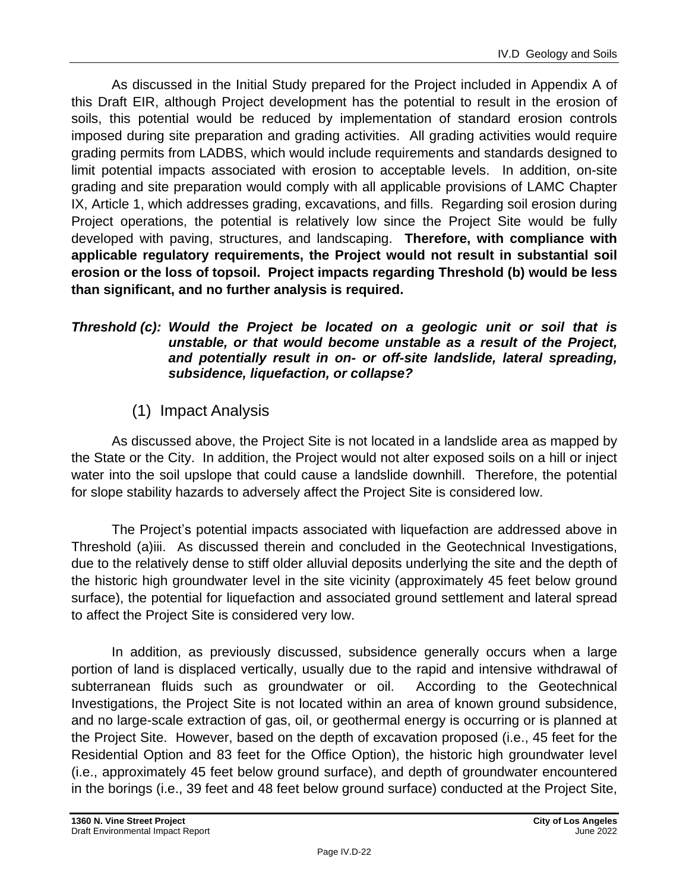As discussed in the Initial Study prepared for the Project included in Appendix A of this Draft EIR, although Project development has the potential to result in the erosion of soils, this potential would be reduced by implementation of standard erosion controls imposed during site preparation and grading activities. All grading activities would require grading permits from LADBS, which would include requirements and standards designed to limit potential impacts associated with erosion to acceptable levels. In addition, on-site grading and site preparation would comply with all applicable provisions of LAMC Chapter IX, Article 1, which addresses grading, excavations, and fills. Regarding soil erosion during Project operations, the potential is relatively low since the Project Site would be fully developed with paving, structures, and landscaping. **Therefore, with compliance with applicable regulatory requirements, the Project would not result in substantial soil erosion or the loss of topsoil. Project impacts regarding Threshold (b) would be less than significant, and no further analysis is required.**

#### *Threshold (c): Would the Project be located on a geologic unit or soil that is unstable, or that would become unstable as a result of the Project, and potentially result in on- or off-site landslide, lateral spreading, subsidence, liquefaction, or collapse?*

# (1) Impact Analysis

As discussed above, the Project Site is not located in a landslide area as mapped by the State or the City. In addition, the Project would not alter exposed soils on a hill or inject water into the soil upslope that could cause a landslide downhill. Therefore, the potential for slope stability hazards to adversely affect the Project Site is considered low.

The Project's potential impacts associated with liquefaction are addressed above in Threshold (a)iii. As discussed therein and concluded in the Geotechnical Investigations, due to the relatively dense to stiff older alluvial deposits underlying the site and the depth of the historic high groundwater level in the site vicinity (approximately 45 feet below ground surface), the potential for liquefaction and associated ground settlement and lateral spread to affect the Project Site is considered very low.

In addition, as previously discussed, subsidence generally occurs when a large portion of land is displaced vertically, usually due to the rapid and intensive withdrawal of subterranean fluids such as groundwater or oil. According to the Geotechnical Investigations, the Project Site is not located within an area of known ground subsidence, and no large-scale extraction of gas, oil, or geothermal energy is occurring or is planned at the Project Site. However, based on the depth of excavation proposed (i.e., 45 feet for the Residential Option and 83 feet for the Office Option), the historic high groundwater level (i.e., approximately 45 feet below ground surface), and depth of groundwater encountered in the borings (i.e., 39 feet and 48 feet below ground surface) conducted at the Project Site,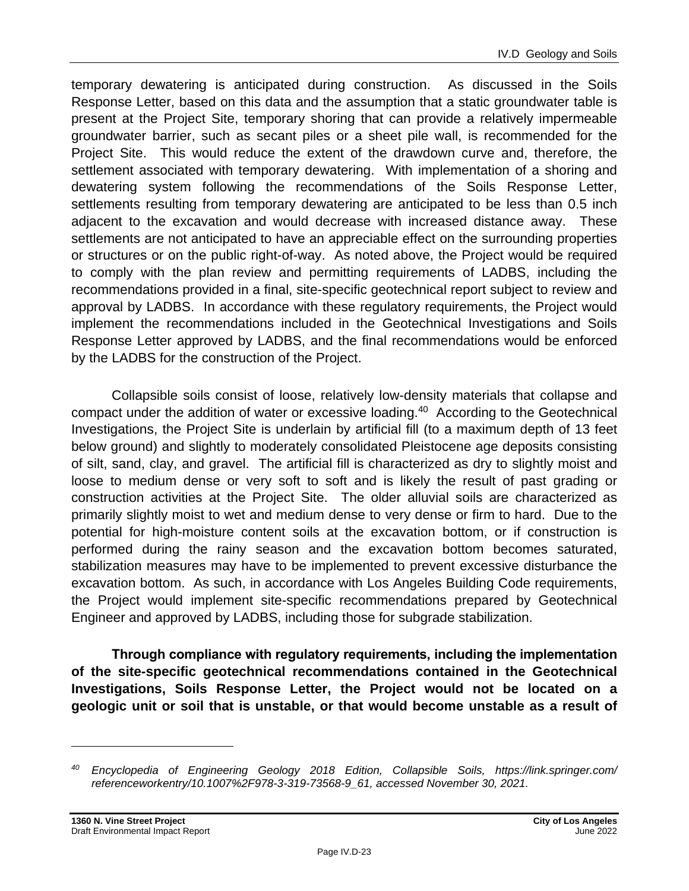temporary dewatering is anticipated during construction. As discussed in the Soils Response Letter, based on this data and the assumption that a static groundwater table is present at the Project Site, temporary shoring that can provide a relatively impermeable groundwater barrier, such as secant piles or a sheet pile wall, is recommended for the Project Site. This would reduce the extent of the drawdown curve and, therefore, the settlement associated with temporary dewatering. With implementation of a shoring and dewatering system following the recommendations of the Soils Response Letter, settlements resulting from temporary dewatering are anticipated to be less than 0.5 inch adjacent to the excavation and would decrease with increased distance away. These settlements are not anticipated to have an appreciable effect on the surrounding properties or structures or on the public right-of-way. As noted above, the Project would be required to comply with the plan review and permitting requirements of LADBS, including the recommendations provided in a final, site-specific geotechnical report subject to review and approval by LADBS. In accordance with these regulatory requirements, the Project would implement the recommendations included in the Geotechnical Investigations and Soils Response Letter approved by LADBS, and the final recommendations would be enforced by the LADBS for the construction of the Project.

Collapsible soils consist of loose, relatively low-density materials that collapse and compact under the addition of water or excessive loading.<sup>40</sup> According to the Geotechnical Investigations, the Project Site is underlain by artificial fill (to a maximum depth of 13 feet below ground) and slightly to moderately consolidated Pleistocene age deposits consisting of silt, sand, clay, and gravel. The artificial fill is characterized as dry to slightly moist and loose to medium dense or very soft to soft and is likely the result of past grading or construction activities at the Project Site. The older alluvial soils are characterized as primarily slightly moist to wet and medium dense to very dense or firm to hard. Due to the potential for high-moisture content soils at the excavation bottom, or if construction is performed during the rainy season and the excavation bottom becomes saturated, stabilization measures may have to be implemented to prevent excessive disturbance the excavation bottom. As such, in accordance with Los Angeles Building Code requirements, the Project would implement site-specific recommendations prepared by Geotechnical Engineer and approved by LADBS, including those for subgrade stabilization.

**Through compliance with regulatory requirements, including the implementation of the site-specific geotechnical recommendations contained in the Geotechnical Investigations, Soils Response Letter, the Project would not be located on a geologic unit or soil that is unstable, or that would become unstable as a result of** 

*<sup>40</sup> Encyclopedia of Engineering Geology 2018 Edition, Collapsible Soils, https://link.springer.com/ referenceworkentry/10.1007%2F978-3-319-73568-9\_61, accessed November 30, 2021.*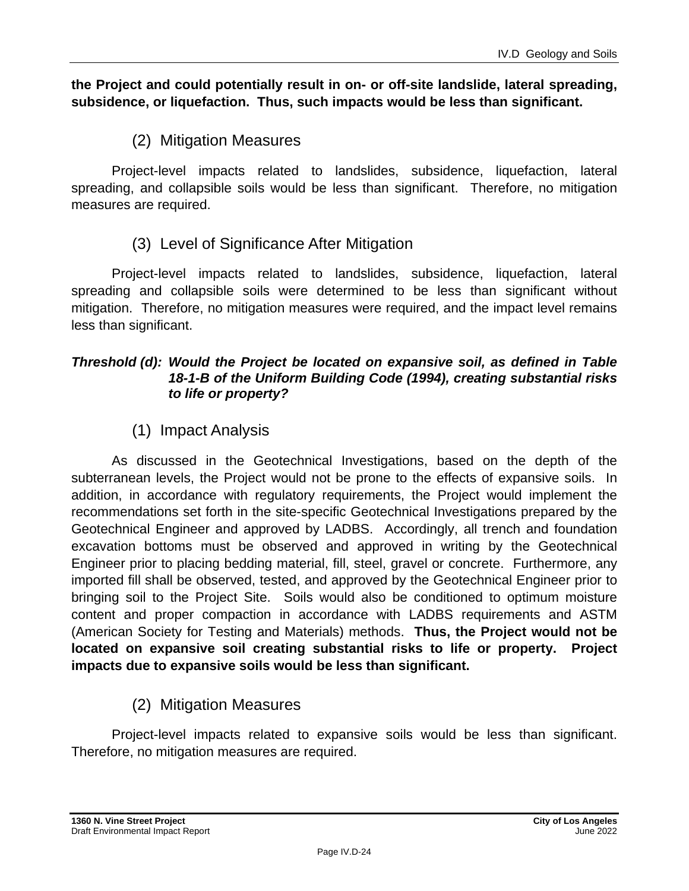#### **the Project and could potentially result in on- or off-site landslide, lateral spreading, subsidence, or liquefaction. Thus, such impacts would be less than significant.**

# (2) Mitigation Measures

Project-level impacts related to landslides, subsidence, liquefaction, lateral spreading, and collapsible soils would be less than significant. Therefore, no mitigation measures are required.

### (3) Level of Significance After Mitigation

Project-level impacts related to landslides, subsidence, liquefaction, lateral spreading and collapsible soils were determined to be less than significant without mitigation. Therefore, no mitigation measures were required, and the impact level remains less than significant.

#### *Threshold (d): Would the Project be located on expansive soil, as defined in Table 18-1-B of the Uniform Building Code (1994), creating substantial risks to life or property?*

# (1) Impact Analysis

As discussed in the Geotechnical Investigations, based on the depth of the subterranean levels, the Project would not be prone to the effects of expansive soils. In addition, in accordance with regulatory requirements, the Project would implement the recommendations set forth in the site-specific Geotechnical Investigations prepared by the Geotechnical Engineer and approved by LADBS. Accordingly, all trench and foundation excavation bottoms must be observed and approved in writing by the Geotechnical Engineer prior to placing bedding material, fill, steel, gravel or concrete. Furthermore, any imported fill shall be observed, tested, and approved by the Geotechnical Engineer prior to bringing soil to the Project Site. Soils would also be conditioned to optimum moisture content and proper compaction in accordance with LADBS requirements and ASTM (American Society for Testing and Materials) methods. **Thus, the Project would not be located on expansive soil creating substantial risks to life or property. Project impacts due to expansive soils would be less than significant.**

# (2) Mitigation Measures

Project-level impacts related to expansive soils would be less than significant. Therefore, no mitigation measures are required.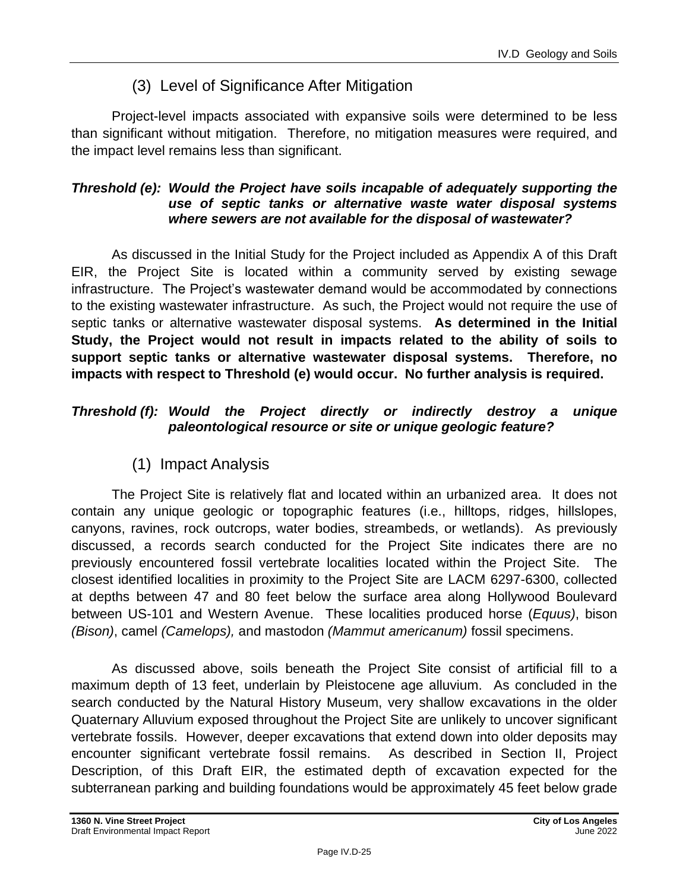# (3) Level of Significance After Mitigation

Project-level impacts associated with expansive soils were determined to be less than significant without mitigation. Therefore, no mitigation measures were required, and the impact level remains less than significant.

#### *Threshold (e): Would the Project have soils incapable of adequately supporting the use of septic tanks or alternative waste water disposal systems where sewers are not available for the disposal of wastewater?*

As discussed in the Initial Study for the Project included as Appendix A of this Draft EIR, the Project Site is located within a community served by existing sewage infrastructure. The Project's wastewater demand would be accommodated by connections to the existing wastewater infrastructure. As such, the Project would not require the use of septic tanks or alternative wastewater disposal systems. **As determined in the Initial Study, the Project would not result in impacts related to the ability of soils to support septic tanks or alternative wastewater disposal systems. Therefore, no impacts with respect to Threshold (e) would occur. No further analysis is required.**

#### *Threshold (f): Would the Project directly or indirectly destroy a unique paleontological resource or site or unique geologic feature?*

(1) Impact Analysis

The Project Site is relatively flat and located within an urbanized area. It does not contain any unique geologic or topographic features (i.e., hilltops, ridges, hillslopes, canyons, ravines, rock outcrops, water bodies, streambeds, or wetlands). As previously discussed, a records search conducted for the Project Site indicates there are no previously encountered fossil vertebrate localities located within the Project Site. The closest identified localities in proximity to the Project Site are LACM 6297-6300, collected at depths between 47 and 80 feet below the surface area along Hollywood Boulevard between US-101 and Western Avenue. These localities produced horse (*Equus)*, bison *(Bison)*, camel *(Camelops),* and mastodon *(Mammut americanum)* fossil specimens.

As discussed above, soils beneath the Project Site consist of artificial fill to a maximum depth of 13 feet, underlain by Pleistocene age alluvium. As concluded in the search conducted by the Natural History Museum, very shallow excavations in the older Quaternary Alluvium exposed throughout the Project Site are unlikely to uncover significant vertebrate fossils. However, deeper excavations that extend down into older deposits may encounter significant vertebrate fossil remains. As described in Section II, Project Description, of this Draft EIR, the estimated depth of excavation expected for the subterranean parking and building foundations would be approximately 45 feet below grade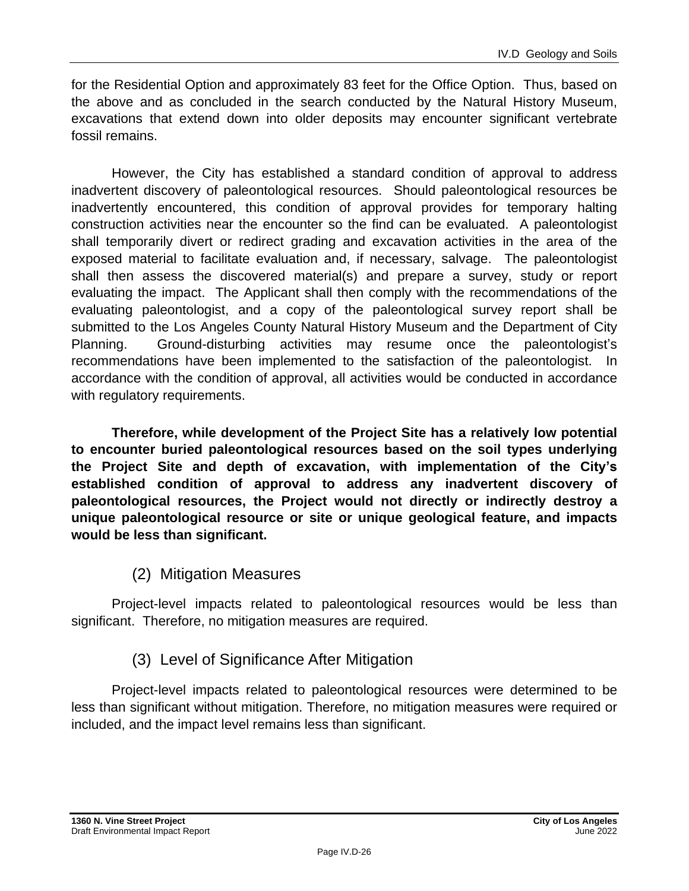for the Residential Option and approximately 83 feet for the Office Option. Thus, based on the above and as concluded in the search conducted by the Natural History Museum, excavations that extend down into older deposits may encounter significant vertebrate fossil remains.

However, the City has established a standard condition of approval to address inadvertent discovery of paleontological resources. Should paleontological resources be inadvertently encountered, this condition of approval provides for temporary halting construction activities near the encounter so the find can be evaluated. A paleontologist shall temporarily divert or redirect grading and excavation activities in the area of the exposed material to facilitate evaluation and, if necessary, salvage. The paleontologist shall then assess the discovered material(s) and prepare a survey, study or report evaluating the impact. The Applicant shall then comply with the recommendations of the evaluating paleontologist, and a copy of the paleontological survey report shall be submitted to the Los Angeles County Natural History Museum and the Department of City Planning. Ground-disturbing activities may resume once the paleontologist's recommendations have been implemented to the satisfaction of the paleontologist. In accordance with the condition of approval, all activities would be conducted in accordance with regulatory requirements.

**Therefore, while development of the Project Site has a relatively low potential to encounter buried paleontological resources based on the soil types underlying the Project Site and depth of excavation, with implementation of the City's established condition of approval to address any inadvertent discovery of paleontological resources, the Project would not directly or indirectly destroy a unique paleontological resource or site or unique geological feature, and impacts would be less than significant.**

# (2) Mitigation Measures

Project-level impacts related to paleontological resources would be less than significant. Therefore, no mitigation measures are required.

# (3) Level of Significance After Mitigation

Project-level impacts related to paleontological resources were determined to be less than significant without mitigation. Therefore, no mitigation measures were required or included, and the impact level remains less than significant.